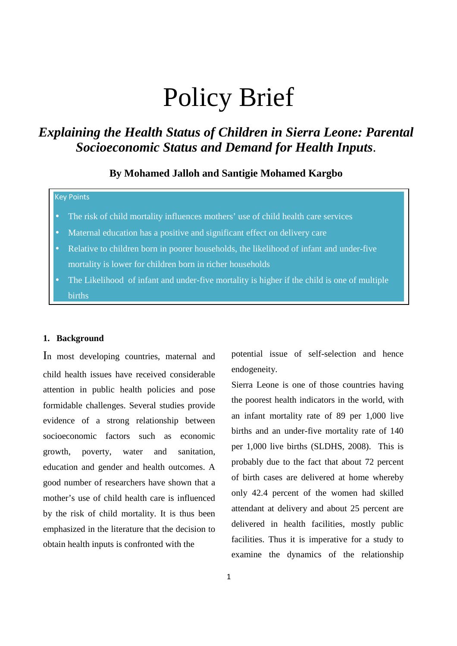# Policy Brief

## *Explaining the Health Status of Children in Sierra Leone: Parental Socioeconomic Status and Demand for Health Inputs*.

### **By Mohamed Jalloh and Santigie Mohamed Kargbo**

#### Key Points

- The risk of child mortality influences mothers' use of child health care services
- Maternal education has a positive and significant effect on delivery care
- Relative to children born in poorer households, the likelihood of infant and under-five mortality is lower for children born in richer households
- The Likelihood of infant and under-five mortality is higher if the child is one of multiple births

#### **1. Background**

In most developing countries, maternal and child health issues have received considerable attention in public health policies and pose formidable challenges. Several studies provide evidence of a strong relationship between socioeconomic factors such as economic growth, poverty, water and sanitation, education and gender and health outcomes. A good number of researchers have shown that a mother's use of child health care is influenced by the risk of child mortality. It is thus been emphasized in the literature that the decision to obtain health inputs is confronted with the

potential issue of self-selection and hence endogeneity.

Sierra Leone is one of those countries having the poorest health indicators in the world, with an infant mortality rate of 89 per 1,000 live births and an under-five mortality rate of 140 per 1,000 live births (SLDHS, 2008). This is probably due to the fact that about 72 percent of birth cases are delivered at home whereby only 42.4 percent of the women had skilled attendant at delivery and about 25 percent are delivered in health facilities, mostly public facilities. Thus it is imperative for a study to examine the dynamics of the relationship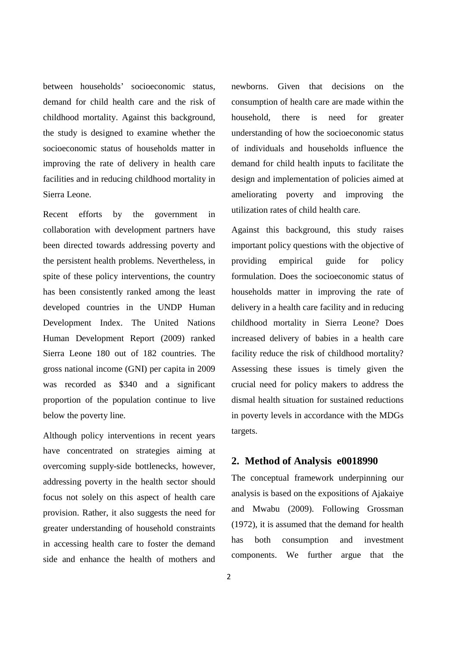between households' socioeconomic status, demand for child health care and the risk of childhood mortality. Against this background, the study is designed to examine whether the socioeconomic status of households matter in improving the rate of delivery in health care facilities and in reducing childhood mortality in Sierra Leone.

Recent efforts by the government in collaboration with development partners have been directed towards addressing poverty and the persistent health problems. Nevertheless, in spite of these policy interventions, the country has been consistently ranked among the least developed countries in the UNDP Human Development Index. The United Nations Human Development Report (2009) ranked Sierra Leone 180 out of 182 countries. The gross national income (GNI) per capita in 2009 was recorded as \$340 and a significant proportion of the population continue to live below the poverty line.

Although policy interventions in recent years have concentrated on strategies aiming at overcoming supply-side bottlenecks, however, addressing poverty in the health sector should focus not solely on this aspect of health care provision. Rather, it also suggests the need for greater understanding of household constraints in accessing health care to foster the demand side and enhance the health of mothers and

newborns. Given that decisions on the consumption of health care are made within the household, there is need for greater understanding of how the socioeconomic status of individuals and households influence the demand for child health inputs to facilitate the design and implementation of policies aimed at ameliorating poverty and improving the utilization rates of child health care.

Against this background, this study raises important policy questions with the objective of providing empirical guide for policy formulation. Does the socioeconomic status of households matter in improving the rate of delivery in a health care facility and in reducing childhood mortality in Sierra Leone? Does increased delivery of babies in a health care facility reduce the risk of childhood mortality? Assessing these issues is timely given the crucial need for policy makers to address the dismal health situation for sustained reductions in poverty levels in accordance with the MDGs targets.

#### **2. Method of Analysis e0018990**

The conceptual framework underpinning our analysis is based on the expositions of Ajakaiye and Mwabu (2009). Following Grossman (1972), it is assumed that the demand for health has both consumption and investment components. We further argue that the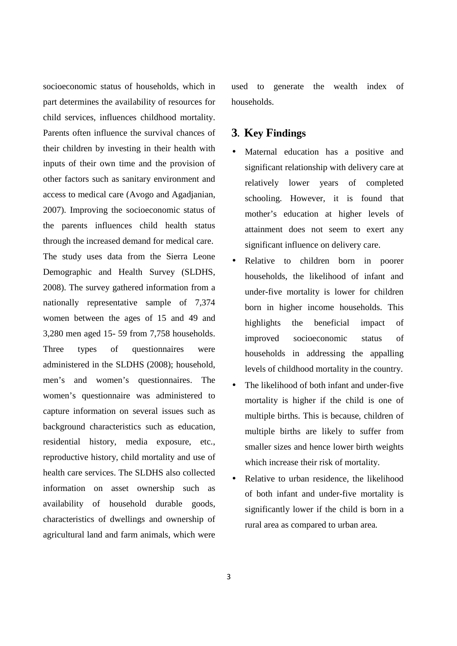socioeconomic status of households, which in part determines the availability of resources for child services, influences childhood mortality. Parents often influence the survival chances of their children by investing in their health with inputs of their own time and the provision of other factors such as sanitary environment and access to medical care (Avogo and Agadjanian, 2007). Improving the socioeconomic status of the parents influences child health status through the increased demand for medical care. The study uses data from the Sierra Leone Demographic and Health Survey (SLDHS, 2008). The survey gathered information from a nationally representative sample of 7,374 women between the ages of 15 and 49 and 3,280 men aged 15- 59 from 7,758 households. Three types of questionnaires were administered in the SLDHS (2008); household, men's and women's questionnaires. The women's questionnaire was administered to capture information on several issues such as background characteristics such as education, residential history, media exposure, etc., reproductive history, child mortality and use of health care services. The SLDHS also collected information on asset ownership such as availability of household durable goods, characteristics of dwellings and ownership of agricultural land and farm animals, which were used to generate the wealth index of households.

## **3. Key Findings**

- Maternal education has a positive and significant relationship with delivery care at relatively lower years of completed schooling. However, it is found that mother's education at higher levels of attainment does not seem to exert any significant influence on delivery care.
- Relative to children born in poorer households, the likelihood of infant and under-five mortality is lower for children born in higher income households. This highlights the beneficial impact of improved socioeconomic status of households in addressing the appalling levels of childhood mortality in the country.
- The likelihood of both infant and under-five mortality is higher if the child is one of multiple births. This is because, children of multiple births are likely to suffer from smaller sizes and hence lower birth weights which increase their risk of mortality.
- Relative to urban residence, the likelihood of both infant and under-five mortality is significantly lower if the child is born in a rural area as compared to urban area.